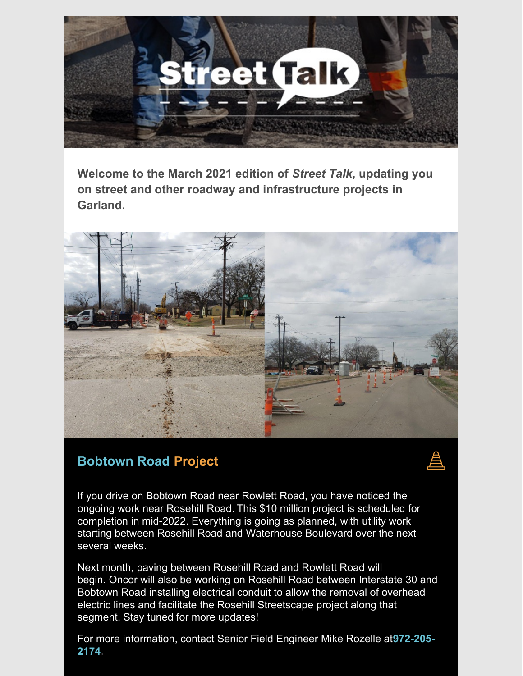

**Welcome to the March 2021 edition of** *Street Talk***, updating you on street and other roadway and infrastructure projects in Garland.**



## **Bobtown Road Project**

If you drive on Bobtown Road near Rowlett Road, you have noticed the ongoing work near Rosehill Road. This \$10 million project is scheduled for completion in mid-2022. Everything is going as planned, with utility work starting between Rosehill Road and Waterhouse Boulevard over the next several weeks.

Next month, paving between Rosehill Road and Rowlett Road will begin. Oncor will also be working on Rosehill Road between Interstate 30 and Bobtown Road installing electrical conduit to allow the removal of overhead electric lines and facilitate the Rosehill Streetscape project along that segment. Stay tuned for more updates!

For more information, contact Senior Field Engineer Mike Rozelle at**972-205- 2174.**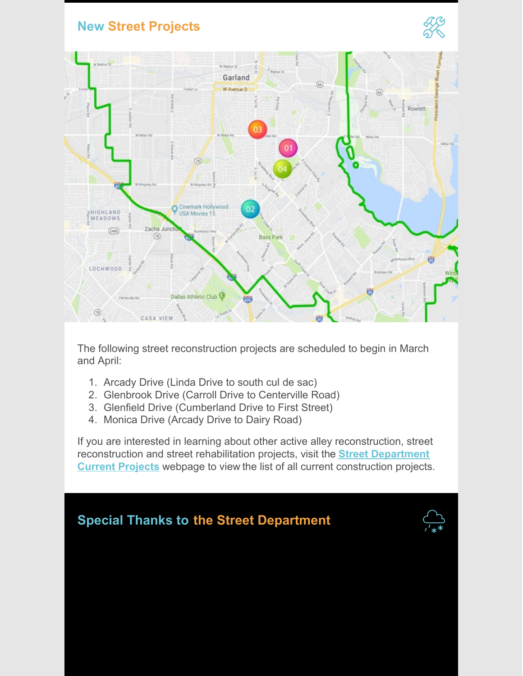## **New Street Projects**





The following street reconstruction projects are scheduled to begin in March and April:

- 1. Arcady Drive (Linda Drive to south cul de sac)
- 2. Glenbrook Drive (Carroll Drive to Centerville Road)
- 3. Glenfield Drive (Cumberland Drive to First Street)
- 4. Monica Drive (Arcady Drive to Dairy Road)

If you are interested in learning about other active alley reconstruction, street [reconstruction](http://www.garlandtx.gov/877/Current-Projects) and street rehabilitation projects, visit the **Street Department Current Projects** webpage to view the list of all current construction projects.

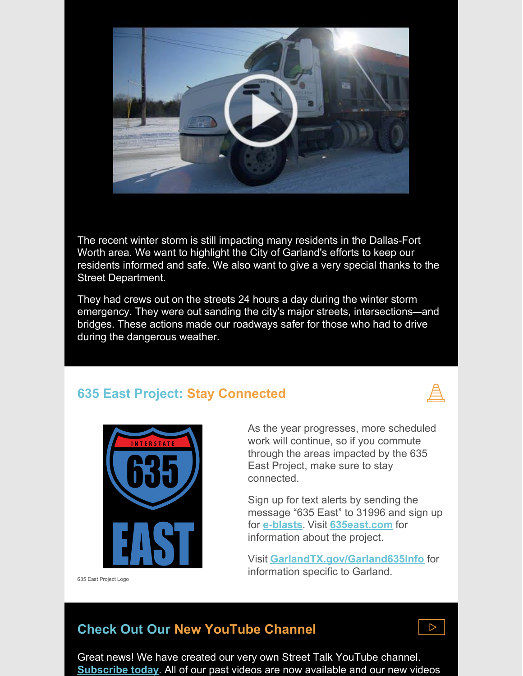

The recent winter storm is still impacting many residents in the Dallas-Fort Worth area. We want to highlight the City of Garland's efforts to keep our residents informed and safe. We also want to give a very special thanks to the Street Department.

They had crews out on the streets 24 hours a day during the winter storm emergency. They were out sanding the city's major streets, intersections—and bridges. These actions made our roadways safer for those who had to drive during the dangerous weather.

## **635 East Project: Stay Connected**





As the year progresses, more scheduled work will continue, so if you commute through the areas impacted by the 635 East Project, make sure to stay connected.

Sign up for text alerts by sending the message "635 East" to 31996 and sign up for **[e-blasts](https://635east.com/receive/e-blasts/)**. Visit **[635east.com](http://www.635east.com/)** for information about the project.

Visit **[GarlandTX.gov/Garland635Info](http://garlandtx.gov/3763/635-East-Project---Garland-Information)** for information specific to Garland.

635 East Project Logo

## **Check Out Our New YouTube Channel**



Great news! We have created our very own Street Talk YouTube channel. **[Subscribe](https://www.youtube.com/channel/UCmrO2qvg9DXDrJX711uCg7A/featured) today**. All of our past videos are now available and our new videos